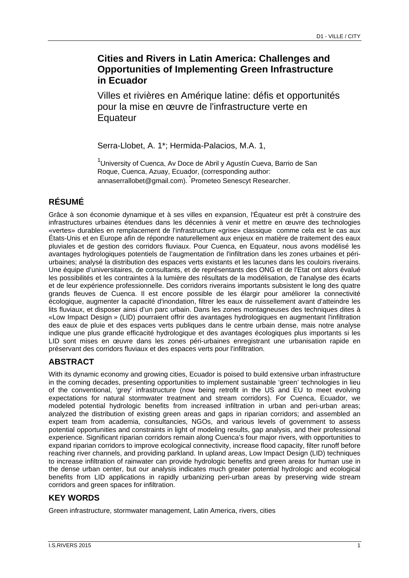# **Cities and Rivers in Latin America: Challenges and Opportunities of Implementing Green Infrastructure in Ecuador**

Villes et rivières en Amérique latine: défis et opportunités pour la mise en œuvre de l'infrastructure verte en **Equateur** 

Serra-Llobet, A. 1\*; Hermida-Palacios, M.A. 1,

<sup>1</sup>University of Cuenca, Av Doce de Abril y Agustín Cueva, Barrio de San Roque, Cuenca, Azuay, Ecuador, (corresponding author: annaserrallobet@gmail.com). Prometeo Senescyt Researcher.

# **RÉSUMÉ**

Grâce à son économie dynamique et à ses villes en expansion, l'Équateur est prêt à construire des infrastructures urbaines étendues dans les décennies à venir et mettre en œuvre des technologies «vertes» durables en remplacement de l'infrastructure «grise» classique comme cela est le cas aux États-Unis et en Europe afin de répondre naturellement aux enjeux en matière de traitement des eaux pluviales et de gestion des corridors fluviaux. Pour Cuenca, en Equateur, nous avons modélisé les avantages hydrologiques potentiels de l'augmentation de l'infiltration dans les zones urbaines et périurbaines; analysé la distribution des espaces verts existants et les lacunes dans les couloirs riverains. Une équipe d'universitaires, de consultants, et de représentants des ONG et de l'Etat ont alors évalué les possibilités et les contraintes à la lumière des résultats de la modélisation, de l'analyse des écarts et de leur expérience professionnelle. Des corridors riverains importants subsistent le long des quatre grands fleuves de Cuenca. Il est encore possible de les élargir pour améliorer la connectivité écologique, augmenter la capacité d'inondation, filtrer les eaux de ruissellement avant d'atteindre les lits fluviaux, et disposer ainsi d'un parc urbain. Dans les zones montagneuses des techniques dites à «Low Impact Design » (LID) pourraient offrir des avantages hydrologiques en augmentant l'infiltration des eaux de pluie et des espaces verts publiques dans le centre urbain dense, mais notre analyse indique une plus grande efficacité hydrologique et des avantages écologiques plus importants si les LID sont mises en œuvre dans les zones péri-urbaines enregistrant une urbanisation rapide en préservant des corridors fluviaux et des espaces verts pour l'infiltration.

## **ABSTRACT**

With its dynamic economy and growing cities, Ecuador is poised to build extensive urban infrastructure in the coming decades, presenting opportunities to implement sustainable 'green' technologies in lieu of the conventional, 'grey' infrastructure (now being retrofit in the US and EU to meet evolving expectations for natural stormwater treatment and stream corridors). For Cuenca, Ecuador, we modeled potential hydrologic benefits from increased infiltration in urban and peri-urban areas; analyzed the distribution of existing green areas and gaps in riparian corridors; and assembled an expert team from academia, consultancies, NGOs, and various levels of government to assess potential opportunities and constraints in light of modeling results, gap analysis, and their professional experience. Significant riparian corridors remain along Cuenca's four major rivers, with opportunities to expand riparian corridors to improve ecological connectivity, increase flood capacity, filter runoff before reaching river channels, and providing parkland. In upland areas, Low Impact Design (LID) techniques to increase infiltration of rainwater can provide hydrologic benefits and green areas for human use in the dense urban center, but our analysis indicates much greater potential hydrologic and ecological benefits from LID applications in rapidly urbanizing peri-urban areas by preserving wide stream corridors and green spaces for infiltration.

## **KEY WORDS**

Green infrastructure, stormwater management, Latin America, rivers, cities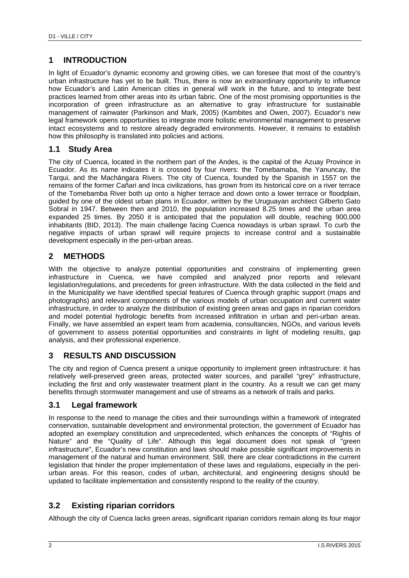## **1 INTRODUCTION**

In light of Ecuador's dynamic economy and growing cities, we can foresee that most of the country's urban infrastructure has yet to be built. Thus, there is now an extraordinary opportunity to influence how Ecuador's and Latin American cities in general will work in the future, and to integrate best practices learned from other areas into its urban fabric. One of the most promising opportunities is the incorporation of green infrastructure as an alternative to gray infrastructure for sustainable management of rainwater (Parkinson and Mark, 2005) (Kambites and Owen, 2007). Ecuador's new legal framework opens opportunities to integrate more holistic environmental management to preserve intact ecosystems and to restore already degraded environments. However, it remains to establish how this philosophy is translated into policies and actions.

#### **1.1 Study Area**

The city of Cuenca, located in the northern part of the Andes, is the capital of the Azuay Province in Ecuador. As its name indicates it is crossed by four rivers: the Tomebamaba, the Yanuncay, the Tarqui, and the Machángara Rivers. The city of Cuenca, founded by the Spanish in 1557 on the remains of the former Cañari and Inca civilizations, has grown from its historical core on a river terrace of the Tomebamba River both up onto a higher terrace and down onto a lower terrace or floodplain, guided by one of the oldest urban plans in Ecuador, written by the Uruguayan architect Gilberto Gato Sobral in 1947. Between then and 2010, the population increased 8.25 times and the urban area expanded 25 times. By 2050 it is anticipated that the population will double, reaching 900,000 inhabitants (BID, 2013). The main challenge facing Cuenca nowadays is urban sprawl. To curb the negative impacts of urban sprawl will require projects to increase control and a sustainable development especially in the peri-urban areas.

### **2 METHODS**

With the objective to analyze potential opportunities and constrains of implementing green infrastructure in Cuenca, we have compiled and analyzed prior reports and relevant legislation/regulations, and precedents for green infrastructure. With the data collected in the field and in the Municipality we have identified special features of Cuenca through graphic support (maps and photographs) and relevant components of the various models of urban occupation and current water infrastructure, in order to analyze the distribution of existing green areas and gaps in riparian corridors and model potential hydrologic benefits from increased infiltration in urban and peri-urban areas. Finally, we have assembled an expert team from academia, consultancies, NGOs, and various levels of government to assess potential opportunities and constraints in light of modeling results, gap analysis, and their professional experience.

#### **3 RESULTS AND DISCUSSION**

The city and region of Cuenca present a unique opportunity to implement green infrastructure: it has relatively well-preserved green areas, protected water sources, and parallel "grey" infrastructure, including the first and only wastewater treatment plant in the country. As a result we can get many benefits through stormwater management and use of streams as a network of trails and parks.

#### **3.1 Legal framework**

In response to the need to manage the cities and their surroundings within a framework of integrated conservation, sustainable development and environmental protection, the government of Ecuador has adopted an exemplary constitution and unprecedented, which enhances the concepts of "Rights of Nature" and the "Quality of Life". Although this legal document does not speak of "green infrastructure", Ecuador's new constitution and laws should make possible significant improvements in management of the natural and human environment. Still, there are clear contradictions in the current legislation that hinder the proper implementation of these laws and regulations, especially in the periurban areas. For this reason, codes of urban, architectural, and engineering designs should be updated to facilitate implementation and consistently respond to the reality of the country.

## **3.2 Existing riparian corridors**

Although the city of Cuenca lacks green areas, significant riparian corridors remain along its four major